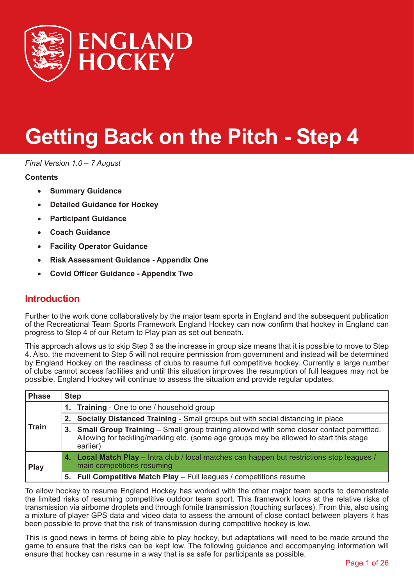

# **Getting Back on the Pitch - Step 4**

*Final Version 1.0 – 7 August*

#### **Contents**

- **[Summary Guidance](#page-2-0)**
- **[Detailed Guidance for Hockey](#page-3-0)**
- **[Participant Guidance](#page-12-0)**
- **[Coach Guidance](#page-14-0)**
- **[Facility Operator Guidance](#page-16-0)**
- **[Risk Assessment Guidance Appendix One](#page-17-0)**
- **[Covid Officer Guidance Appendix Two](#page-24-0)**

# **Introduction**

Further to the work done collaboratively by the major team sports in England and the subsequent publication of the Recreational Team Sports Framework England Hockey can now confirm that hockey in England can progress to Step 4 of our Return to Play plan as set out beneath.

This approach allows us to skip Step 3 as the increase in group size means that it is possible to move to Step 4. Also, the movement to Step 5 will not require permission from government and instead will be determined by England Hockey on the readiness of clubs to resume full competitive hockey. Currently a large number of clubs cannot access facilities and until this situation improves the resumption of full leagues may not be possible. England Hockey will continue to assess the situation and provide regular updates.

| <b>Phase</b> | <b>Step</b> |                                                                                                                                                                                                      |
|--------------|-------------|------------------------------------------------------------------------------------------------------------------------------------------------------------------------------------------------------|
| <b>Train</b> | 1.          | <b>Training</b> - One to one / household group                                                                                                                                                       |
|              | 2.          | Socially Distanced Training - Small groups but with social distancing in place                                                                                                                       |
|              | 3.          | <b>Small Group Training - Small group training allowed with some closer contact permitted.</b><br>Allowing for tackling/marking etc. (some age groups may be allowed to start this stage<br>earlier) |
| <b>Play</b>  | 4.          | <b>Local Match Play</b> – Intra club / local matches can happen but restrictions stop leagues /<br>main competitions resuming                                                                        |
|              | 5.          | Full Competitive Match Play - Full leagues / competitions resume                                                                                                                                     |

To allow hockey to resume England Hockey has worked with the other major team sports to demonstrate the limited risks of resuming competitive outdoor team sport. This framework looks at the relative risks of transmission via airborne droplets and through fomite transmission (touching surfaces). From this, also using a mixture of player GPS data and video data to assess the amount of close contact between players it has been possible to prove that the risk of transmission during competitive hockey is low.

This is good news in terms of being able to play hockey, but adaptations will need to be made around the game to ensure that the risks can be kept low. The following guidance and accompanying information will ensure that hockey can resume in a way that is as safe for participants as possible.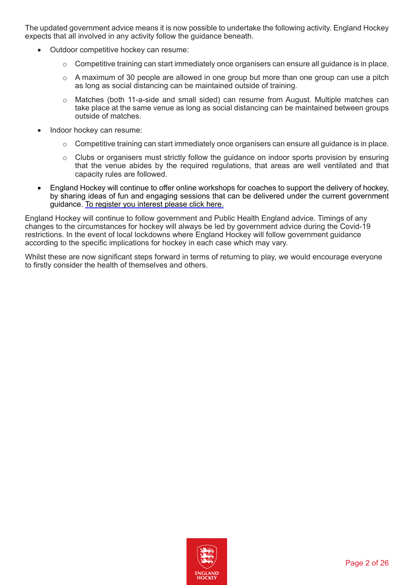The updated government advice means it is now possible to undertake the following activity. England Hockey expects that all involved in any activity follow the guidance beneath.

- Outdoor competitive hockey can resume:
	- o Competitive training can start immediately once organisers can ensure all guidance is in place.
	- $\circ$  A maximum of 30 people are allowed in one group but more than one group can use a pitch as long as social distancing can be maintained outside of training.
	- o Matches (both 11-a-side and small sided) can resume from August. Multiple matches can take place at the same venue as long as social distancing can be maintained between groups outside of matches.
- Indoor hockey can resume:
	- $\circ$  Competitive training can start immediately once organisers can ensure all guidance is in place.
	- o Clubs or organisers must strictly follow the guidance on indoor sports provision by ensuring that the venue abides by the required regulations, that areas are well ventilated and that capacity rules are followed.
- England Hockey will continue to offer online workshops for coaches to support the delivery of hockey, by sharing ideas of fun and engaging sessions that can be delivered under the current government guidance. [To register you interest please click here.](https://forms.office.com/Pages/ResponsePage.aspx?id=NvkYmuiQxU--asEa8eSc6r55cVX3wDRCp8ohmjPZ-6RUNkhTODlWRFk5NFVPN01HVkdTWFg4TU5RVC4u)

England Hockey will continue to follow government and Public Health England advice. Timings of any changes to the circumstances for hockey will always be led by government advice during the Covid-19 restrictions. In the event of local lockdowns where England Hockey will follow government guidance according to the specific implications for hockey in each case which may vary.

Whilst these are now significant steps forward in terms of returning to play, we would encourage everyone to firstly consider the health of themselves and others.

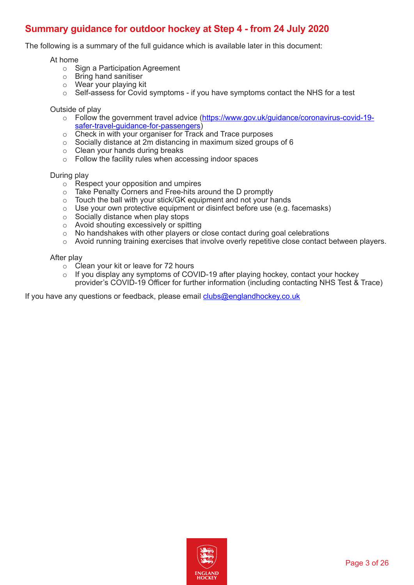# <span id="page-2-0"></span>**Summary guidance for outdoor hockey at Step 4 - from 24 July 2020**

The following is a summary of the full guidance which is available later in this document:

#### At home

- o Sign a Participation Agreement
- o Bring hand sanitiser
- o Wear your playing kit
- o Self-assess for Covid symptoms if you have symptoms contact the NHS for a test

#### Outside of play

- o Follow the government travel advice ([https://www.gov.uk/guidance/coronavirus-covid-19](https://www.gov.uk/guidance/coronavirus-covid-19-safer-travel-guidance-for-passengers) [safer-travel-guidance-for-passengers](https://www.gov.uk/guidance/coronavirus-covid-19-safer-travel-guidance-for-passengers))
- o Check in with your organiser for Track and Trace purposes
- $\circ$  Socially distance at 2m distancing in maximum sized groups of 6
- $\circ$  Clean your hands during breaks
- o Follow the facility rules when accessing indoor spaces

#### During play

- o Respect your opposition and umpires
- o Take Penalty Corners and Free-hits around the D promptly
- o Touch the ball with your stick/GK equipment and not your hands
- $\circ$  Use your own protective equipment or disinfect before use (e.g. facemasks)
- o Socially distance when play stops
- o Avoid shouting excessively or spitting
- o No handshakes with other players or close contact during goal celebrations
- $\circ$  Avoid running training exercises that involve overly repetitive close contact between players.

#### After play

- o Clean your kit or leave for 72 hours
- $\circ$  If you display any symptoms of COVID-19 after playing hockey, contact your hockey provider's COVID-19 Officer for further information (including contacting NHS Test & Trace)

If you have any questions or feedback, please email [clubs@englandhockey.co.uk](mailto:clubs@englandhockey.co.uk)

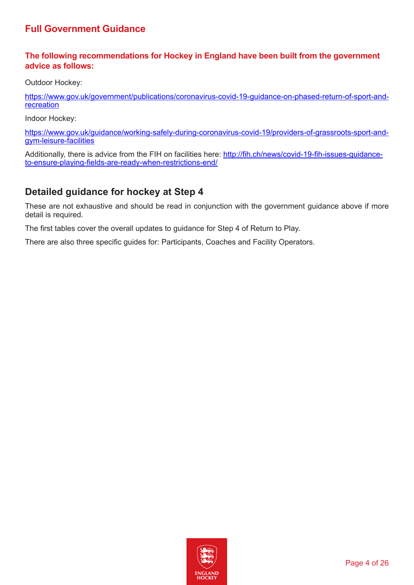# <span id="page-3-0"></span>**Full Government Guidance**

## **The following recommendations for Hockey in England have been built from the government advice as follows:**

Outdoor Hockey:

[https://www.gov.uk/government/publications/coronavirus-covid-19-guidance-on-phased-return-of-sport-and](https://www.gov.uk/government/publications/coronavirus-covid-19-guidance-on-phased-return-of-sport-and-recreation)[recreation](https://www.gov.uk/government/publications/coronavirus-covid-19-guidance-on-phased-return-of-sport-and-recreation)

Indoor Hockey:

[https://www.gov.uk/guidance/working-safely-during-coronavirus-covid-19/providers-of-grassroots-sport-and](https://www.gov.uk/guidance/working-safely-during-coronavirus-covid-19/providers-of-grassroots-sport-and-gym-leisure-facilities)[gym-leisure-facilities](https://www.gov.uk/guidance/working-safely-during-coronavirus-covid-19/providers-of-grassroots-sport-and-gym-leisure-facilities)

Additionally, there is advice from the FIH on facilities here: [http://fih.ch/news/covid-19-fih-issues-guidance](http://fih.ch/news/covid-19-fih-issues-guidance-to-ensure-playing-fields-are-ready-when-restrictions-end/)[to-ensure-playing-fields-are-ready-when-restrictions-end/](http://fih.ch/news/covid-19-fih-issues-guidance-to-ensure-playing-fields-are-ready-when-restrictions-end/)

# **Detailed guidance for hockey at Step 4**

These are not exhaustive and should be read in conjunction with the government guidance above if more detail is required.

The first tables cover the overall updates to guidance for Step 4 of Return to Play.

There are also three specific guides for: Participants, Coaches and Facility Operators.

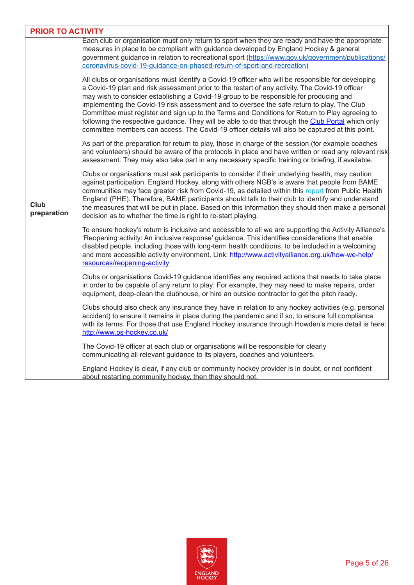| <b>PRIOR TO ACTIVITY</b> |                                                                                                                                                                                                                                                                                                                                                                                                                                                                                                                                                                                                                                                                                                         |
|--------------------------|---------------------------------------------------------------------------------------------------------------------------------------------------------------------------------------------------------------------------------------------------------------------------------------------------------------------------------------------------------------------------------------------------------------------------------------------------------------------------------------------------------------------------------------------------------------------------------------------------------------------------------------------------------------------------------------------------------|
|                          | Each club or organisation must only return to sport when they are ready and have the appropriate<br>measures in place to be compliant with guidance developed by England Hockey & general<br>government guidance in relation to recreational sport (https://www.gov.uk/government/publications/<br>coronavirus-covid-19-quidance-on-phased-return-of-sport-and-recreation)                                                                                                                                                                                                                                                                                                                              |
|                          | All clubs or organisations must identify a Covid-19 officer who will be responsible for developing<br>a Covid-19 plan and risk assessment prior to the restart of any activity. The Covid-19 officer<br>may wish to consider establishing a Covid-19 group to be responsible for producing and<br>implementing the Covid-19 risk assessment and to oversee the safe return to play. The Club<br>Committee must register and sign up to the Terms and Conditions for Return to Play agreeing to<br>following the respective guidance. They will be able to do that through the Club Portal which only<br>committee members can access. The Covid-19 officer details will also be captured at this point. |
|                          | As part of the preparation for return to play, those in charge of the session (for example coaches<br>and volunteers) should be aware of the protocols in place and have written or read any relevant risk<br>assessment. They may also take part in any necessary specific training or briefing, if available.                                                                                                                                                                                                                                                                                                                                                                                         |
| Club<br>preparation      | Clubs or organisations must ask participants to consider if their underlying health, may caution<br>against participation. England Hockey, along with others NGB's is aware that people from BAME<br>communities may face greater risk from Covid-19, as detailed within this report from Public Health<br>England (PHE). Therefore, BAME participants should talk to their club to identify and understand<br>the measures that will be put in place. Based on this information they should then make a personal<br>decision as to whether the time is right to re-start playing.                                                                                                                      |
|                          | To ensure hockey's return is inclusive and accessible to all we are supporting the Activity Alliance's<br>'Reopening activity: An inclusive response' guidance. This identifies considerations that enable<br>disabled people, including those with long-term health conditions, to be included in a welcoming<br>and more accessible activity environment. Link: http://www.activityalliance.org.uk/how-we-help/<br>resources/reopening-activity                                                                                                                                                                                                                                                       |
|                          | Clubs or organisations Covid-19 guidance identifies any required actions that needs to take place<br>in order to be capable of any return to play. For example, they may need to make repairs, order<br>equipment, deep-clean the clubhouse, or hire an outside contractor to get the pitch ready.                                                                                                                                                                                                                                                                                                                                                                                                      |
|                          | Clubs should also check any insurance they have in relation to any hockey activities (e.g. personal<br>accident) to ensure it remains in place during the pandemic and if so, to ensure full compliance<br>with its terms. For those that use England Hockey insurance through Howden's more detail is here:<br>http://www.ps-hockey.co.uk/                                                                                                                                                                                                                                                                                                                                                             |
|                          | The Covid-19 officer at each club or organisations will be responsible for clearly<br>communicating all relevant guidance to its players, coaches and volunteers.                                                                                                                                                                                                                                                                                                                                                                                                                                                                                                                                       |
|                          | England Hockey is clear, if any club or community hockey provider is in doubt, or not confident<br>about restarting community hockey, then they should not.                                                                                                                                                                                                                                                                                                                                                                                                                                                                                                                                             |

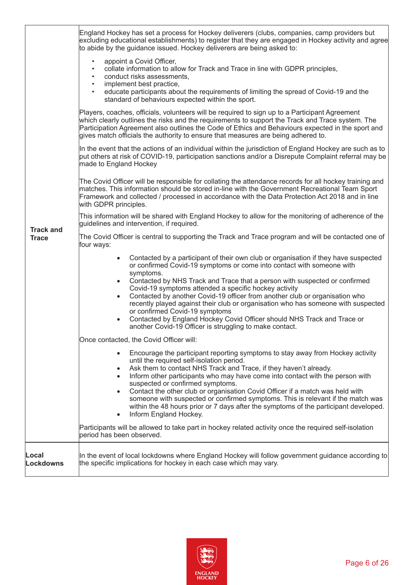|                                  | England Hockey has set a process for Hockey deliverers (clubs, companies, camp providers but<br>excluding educational establishments) to register that they are engaged in Hockey activity and agree<br>to abide by the guidance issued. Hockey deliverers are being asked to:<br>appoint a Covid Officer,<br>$\bullet$<br>collate information to allow for Track and Trace in line with GDPR principles,<br>conduct risks assessments,<br>$\bullet$<br>implement best practice,<br>$\bullet$<br>educate participants about the requirements of limiting the spread of Covid-19 and the<br>$\bullet$<br>standard of behaviours expected within the sport.                                           |
|----------------------------------|-----------------------------------------------------------------------------------------------------------------------------------------------------------------------------------------------------------------------------------------------------------------------------------------------------------------------------------------------------------------------------------------------------------------------------------------------------------------------------------------------------------------------------------------------------------------------------------------------------------------------------------------------------------------------------------------------------|
|                                  | Players, coaches, officials, volunteers will be required to sign up to a Participant Agreement<br>which clearly outlines the risks and the requirements to support the Track and Trace system. The<br>Participation Agreement also outlines the Code of Ethics and Behaviours expected in the sport and<br>gives match officials the authority to ensure that measures are being adhered to.                                                                                                                                                                                                                                                                                                        |
|                                  | In the event that the actions of an individual within the jurisdiction of England Hockey are such as to<br>put others at risk of COVID-19, participation sanctions and/or a Disrepute Complaint referral may be<br>made to England Hockey                                                                                                                                                                                                                                                                                                                                                                                                                                                           |
|                                  | The Covid Officer will be responsible for collating the attendance records for all hockey training and<br>matches. This information should be stored in-line with the Government Recreational Team Sport<br>Framework and collected / processed in accordance with the Data Protection Act 2018 and in line<br>with GDPR principles.                                                                                                                                                                                                                                                                                                                                                                |
|                                  | This information will be shared with England Hockey to allow for the monitoring of adherence of the<br>quidelines and intervention, if required.                                                                                                                                                                                                                                                                                                                                                                                                                                                                                                                                                    |
| <b>Track and</b><br><b>Trace</b> | The Covid Officer is central to supporting the Track and Trace program and will be contacted one of<br>four ways:                                                                                                                                                                                                                                                                                                                                                                                                                                                                                                                                                                                   |
|                                  | Contacted by a participant of their own club or organisation if they have suspected<br>$\bullet$<br>or confirmed Covid-19 symptoms or come into contact with someone with<br>symptoms.<br>Contacted by NHS Track and Trace that a person with suspected or confirmed<br>Covid-19 symptoms attended a specific hockey activity<br>Contacted by another Covid-19 officer from another club or organisation who<br>$\bullet$<br>recently played against their club or organisation who has someone with suspected<br>or confirmed Covid-19 symptoms<br>Contacted by England Hockey Covid Officer should NHS Track and Trace or<br>$\bullet$<br>another Covid-19 Officer is struggling to make contact. |
|                                  | Once contacted, the Covid Officer will:                                                                                                                                                                                                                                                                                                                                                                                                                                                                                                                                                                                                                                                             |
|                                  | Encourage the participant reporting symptoms to stay away from Hockey activity<br>$\bullet$<br>until the required self-isolation period.<br>Ask them to contact NHS Track and Trace, if they haven't already.<br>$\bullet$<br>Inform other participants who may have come into contact with the person with<br>$\bullet$<br>suspected or confirmed symptoms.<br>Contact the other club or organisation Covid Officer if a match was held with<br>$\bullet$<br>someone with suspected or confirmed symptoms. This is relevant if the match was<br>within the 48 hours prior or 7 days after the symptoms of the participant developed.<br>Inform England Hockey.<br>$\bullet$                        |
|                                  | Participants will be allowed to take part in hockey related activity once the required self-isolation<br>period has been observed.                                                                                                                                                                                                                                                                                                                                                                                                                                                                                                                                                                  |
| Local<br>Lockdowns               | In the event of local lockdowns where England Hockey will follow government guidance according to $\mid$<br>the specific implications for hockey in each case which may vary.                                                                                                                                                                                                                                                                                                                                                                                                                                                                                                                       |

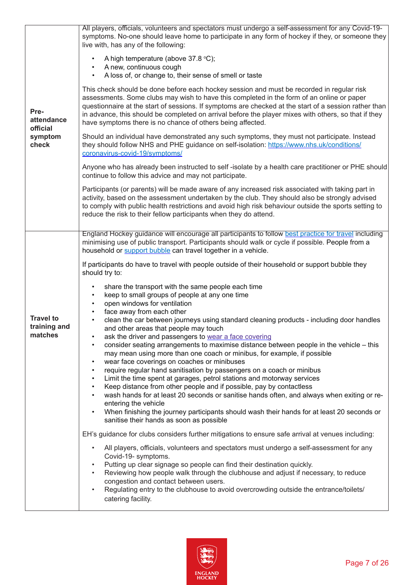|                                                    | All players, officials, volunteers and spectators must undergo a self-assessment for any Covid-19-<br>symptoms. No-one should leave home to participate in any form of hockey if they, or someone they<br>live with, has any of the following:                                                                                                                                                                                                                        |
|----------------------------------------------------|-----------------------------------------------------------------------------------------------------------------------------------------------------------------------------------------------------------------------------------------------------------------------------------------------------------------------------------------------------------------------------------------------------------------------------------------------------------------------|
| Pre-<br>attendance<br>official<br>symptom<br>check | A high temperature (above 37.8 °C);<br>A new, continuous cough<br>A loss of, or change to, their sense of smell or taste<br>$\bullet$                                                                                                                                                                                                                                                                                                                                 |
|                                                    | This check should be done before each hockey session and must be recorded in regular risk<br>assessments. Some clubs may wish to have this completed in the form of an online or paper<br>questionnaire at the start of sessions. If symptoms are checked at the start of a session rather than<br>in advance, this should be completed on arrival before the player mixes with others, so that if they<br>have symptoms there is no chance of others being affected. |
|                                                    | Should an individual have demonstrated any such symptoms, they must not participate. Instead<br>they should follow NHS and PHE guidance on self-isolation: https://www.nhs.uk/conditions/<br>coronavirus-covid-19/symptoms/                                                                                                                                                                                                                                           |
|                                                    | Anyone who has already been instructed to self-isolate by a health care practitioner or PHE should<br>continue to follow this advice and may not participate.                                                                                                                                                                                                                                                                                                         |
|                                                    | Participants (or parents) will be made aware of any increased risk associated with taking part in<br>activity, based on the assessment undertaken by the club. They should also be strongly advised<br>to comply with public health restrictions and avoid high risk behaviour outside the sports setting to<br>reduce the risk to their fellow participants when they do attend.                                                                                     |
|                                                    | England Hockey guidance will encourage all participants to follow best practice for travel including                                                                                                                                                                                                                                                                                                                                                                  |
|                                                    | minimising use of public transport. Participants should walk or cycle if possible. People from a<br>household or support bubble can travel together in a vehicle.                                                                                                                                                                                                                                                                                                     |
|                                                    | If participants do have to travel with people outside of their household or support bubble they<br>should try to:                                                                                                                                                                                                                                                                                                                                                     |
|                                                    | share the transport with the same people each time<br>$\bullet$<br>keep to small groups of people at any one time<br>$\bullet$                                                                                                                                                                                                                                                                                                                                        |
| <b>Travel to</b>                                   | open windows for ventilation<br>$\bullet$<br>face away from each other<br>$\bullet$                                                                                                                                                                                                                                                                                                                                                                                   |
| training and<br>matches                            | clean the car between journeys using standard cleaning products - including door handles<br>$\bullet$<br>and other areas that people may touch                                                                                                                                                                                                                                                                                                                        |
|                                                    | ask the driver and passengers to wear a face covering<br>$\bullet$<br>consider seating arrangements to maximise distance between people in the vehicle - this<br>$\bullet$<br>may mean using more than one coach or minibus, for example, if possible                                                                                                                                                                                                                 |
|                                                    | wear face coverings on coaches or minibuses<br>$\bullet$<br>require regular hand sanitisation by passengers on a coach or minibus<br>$\bullet$                                                                                                                                                                                                                                                                                                                        |
|                                                    | Limit the time spent at garages, petrol stations and motorway services<br>$\bullet$<br>Keep distance from other people and if possible, pay by contactless<br>$\bullet$                                                                                                                                                                                                                                                                                               |
|                                                    | wash hands for at least 20 seconds or sanitise hands often, and always when exiting or re-<br>entering the vehicle                                                                                                                                                                                                                                                                                                                                                    |
|                                                    | When finishing the journey participants should wash their hands for at least 20 seconds or<br>$\bullet$<br>sanitise their hands as soon as possible                                                                                                                                                                                                                                                                                                                   |
|                                                    | EH's guidance for clubs considers further mitigations to ensure safe arrival at venues including:                                                                                                                                                                                                                                                                                                                                                                     |
|                                                    | All players, officials, volunteers and spectators must undergo a self-assessment for any<br>Covid-19- symptoms.                                                                                                                                                                                                                                                                                                                                                       |
|                                                    | Putting up clear signage so people can find their destination quickly.<br>Reviewing how people walk through the clubhouse and adjust if necessary, to reduce<br>congestion and contact between users.<br>Regulating entry to the clubhouse to avoid overcrowding outside the entrance/toilets/                                                                                                                                                                        |
|                                                    | catering facility.                                                                                                                                                                                                                                                                                                                                                                                                                                                    |

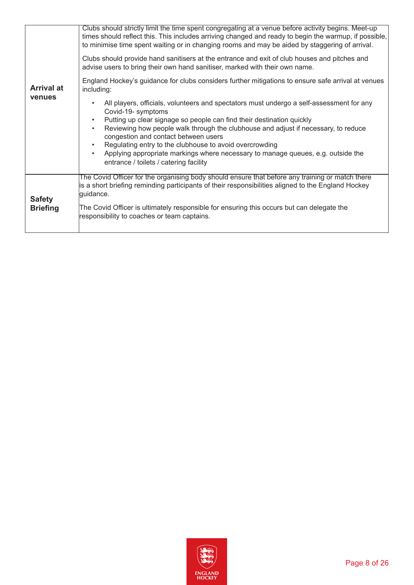|                   | Clubs should strictly limit the time spent congregating at a venue before activity begins. Meet-up                                                                                                      |
|-------------------|---------------------------------------------------------------------------------------------------------------------------------------------------------------------------------------------------------|
|                   | times should reflect this. This includes arriving changed and ready to begin the warmup, if possible,<br>to minimise time spent waiting or in changing rooms and may be aided by staggering of arrival. |
|                   | Clubs should provide hand sanitisers at the entrance and exit of club houses and pitches and<br>advise users to bring their own hand sanitiser, marked with their own name.                             |
| <b>Arrival at</b> | England Hockey's guidance for clubs considers further mitigations to ensure safe arrival at venues<br>including:                                                                                        |
| <b>venues</b>     | All players, officials, volunteers and spectators must undergo a self-assessment for any<br>Covid-19- symptoms                                                                                          |
|                   | Putting up clear signage so people can find their destination quickly                                                                                                                                   |
|                   | Reviewing how people walk through the clubhouse and adjust if necessary, to reduce<br>$\bullet$<br>congestion and contact between users                                                                 |
|                   | Regulating entry to the clubhouse to avoid overcrowding                                                                                                                                                 |
|                   | Applying appropriate markings where necessary to manage queues, e.g. outside the                                                                                                                        |
|                   | entrance / toilets / catering facility                                                                                                                                                                  |
|                   | The Covid Officer for the organising body should ensure that before any training or match there                                                                                                         |
| <b>Safety</b>     | is a short briefing reminding participants of their responsibilities aligned to the England Hockey<br>guidance.                                                                                         |
| <b>Briefing</b>   | The Covid Officer is ultimately responsible for ensuring this occurs but can delegate the<br>responsibility to coaches or team captains.                                                                |
|                   |                                                                                                                                                                                                         |

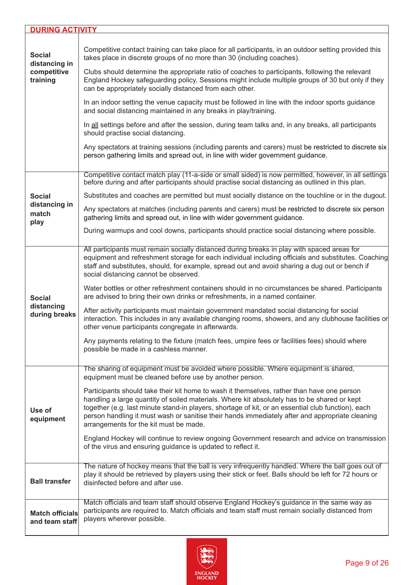| <b>DURING ACTIVITY</b>                                    |                                                                                                                                                                                                                                                                                                                                                                                                                                                                                                                                                                                                                                                                                                                                                                                                                                                                                                                                                                                                                                                                                                                                                                                   |
|-----------------------------------------------------------|-----------------------------------------------------------------------------------------------------------------------------------------------------------------------------------------------------------------------------------------------------------------------------------------------------------------------------------------------------------------------------------------------------------------------------------------------------------------------------------------------------------------------------------------------------------------------------------------------------------------------------------------------------------------------------------------------------------------------------------------------------------------------------------------------------------------------------------------------------------------------------------------------------------------------------------------------------------------------------------------------------------------------------------------------------------------------------------------------------------------------------------------------------------------------------------|
| <b>Social</b><br>distancing in<br>competitive<br>training | Competitive contact training can take place for all participants, in an outdoor setting provided this<br>takes place in discrete groups of no more than 30 (including coaches).<br>Clubs should determine the appropriate ratio of coaches to participants, following the relevant<br>England Hockey safeguarding policy. Sessions might include multiple groups of 30 but only if they<br>can be appropriately socially distanced from each other.<br>In an indoor setting the venue capacity must be followed in line with the indoor sports guidance<br>and social distancing maintained in any breaks in play/training.<br>In all settings before and after the session, during team talks and, in any breaks, all participants<br>should practise social distancing.<br>Any spectators at training sessions (including parents and carers) must be restricted to discrete six<br>person gathering limits and spread out, in line with wider government guidance.<br>Competitive contact match play (11-a-side or small sided) is now permitted, however, in all settings<br>before during and after participants should practise social distancing as outlined in this plan. |
| <b>Social</b><br>distancing in<br>match<br>play           | Substitutes and coaches are permitted but must socially distance on the touchline or in the dugout.<br>Any spectators at matches (including parents and carers) must be restricted to discrete six person<br>gathering limits and spread out, in line with wider government guidance.<br>During warmups and cool downs, participants should practice social distancing where possible.                                                                                                                                                                                                                                                                                                                                                                                                                                                                                                                                                                                                                                                                                                                                                                                            |
| <b>Social</b><br>distancing<br>during breaks              | All participants must remain socially distanced during breaks in play with spaced areas for<br>equipment and refreshment storage for each individual including officials and substitutes. Coaching<br>staff and substitutes, should, for example, spread out and avoid sharing a dug out or bench if<br>social distancing cannot be observed.<br>Water bottles or other refreshment containers should in no circumstances be shared. Participants<br>are advised to bring their own drinks or refreshments, in a named container.<br>After activity participants must maintain government mandated social distancing for social<br>interaction. This includes in any available changing rooms, showers, and any clubhouse facilities or<br>other venue participants congregate in afterwards.<br>Any payments relating to the fixture (match fees, umpire fees or facilities fees) should where<br>possible be made in a cashless manner.                                                                                                                                                                                                                                         |
| Use of<br>equipment                                       | The sharing of equipment must be avoided where possible. Where equipment is shared,<br>equipment must be cleaned before use by another person.<br>Participants should take their kit home to wash it themselves, rather than have one person<br>handling a large quantity of soiled materials. Where kit absolutely has to be shared or kept<br>together (e.g. last minute stand-in players, shortage of kit, or an essential club function), each<br>person handling it must wash or sanitise their hands immediately after and appropriate cleaning<br>arrangements for the kit must be made.<br>England Hockey will continue to review ongoing Government research and advice on transmission<br>of the virus and ensuring guidance is updated to reflect it.                                                                                                                                                                                                                                                                                                                                                                                                                  |
| <b>Ball transfer</b>                                      | The nature of hockey means that the ball is very infrequently handled. Where the ball goes out of<br>play it should be retrieved by players using their stick or feet. Balls should be left for 72 hours or<br>disinfected before and after use.                                                                                                                                                                                                                                                                                                                                                                                                                                                                                                                                                                                                                                                                                                                                                                                                                                                                                                                                  |
| <b>Match officials</b><br>and team staff                  | Match officials and team staff should observe England Hockey's guidance in the same way as<br>participants are required to. Match officials and team staff must remain socially distanced from<br>players wherever possible.                                                                                                                                                                                                                                                                                                                                                                                                                                                                                                                                                                                                                                                                                                                                                                                                                                                                                                                                                      |

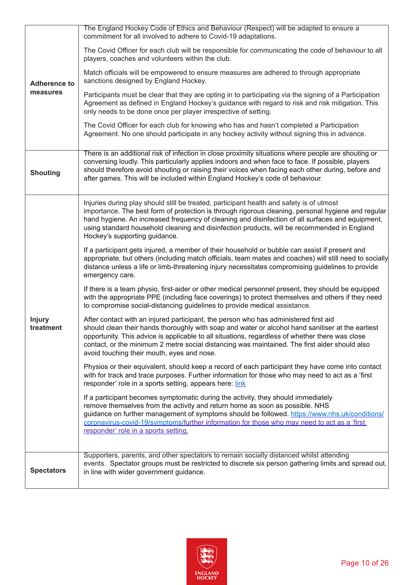|                            | The England Hockey Code of Ethics and Behaviour (Respect) will be adapted to ensure a<br>commitment for all involved to adhere to Covid-19 adaptations.                                                                                                                                                                                                                                                                                     |
|----------------------------|---------------------------------------------------------------------------------------------------------------------------------------------------------------------------------------------------------------------------------------------------------------------------------------------------------------------------------------------------------------------------------------------------------------------------------------------|
| <b>Adherence to</b>        | The Covid Officer for each club will be responsible for communicating the code of behaviour to all<br>players, coaches and volunteers within the club.                                                                                                                                                                                                                                                                                      |
|                            | Match officials will be empowered to ensure measures are adhered to through appropriate<br>sanctions designed by England Hockey.                                                                                                                                                                                                                                                                                                            |
| measures                   | Participants must be clear that they are opting in to participating via the signing of a Participation<br>Agreement as defined in England Hockey's guidance with regard to risk and risk mitigation. This<br>only needs to be done once per player irrespective of setting.                                                                                                                                                                 |
|                            | The Covid Officer for each club for knowing who has and hasn't completed a Participation<br>Agreement. No one should participate in any hockey activity without signing this in advance.                                                                                                                                                                                                                                                    |
| <b>Shouting</b>            | There is an additional risk of infection in close proximity situations where people are shouting or<br>conversing loudly. This particularly applies indoors and when face to face. If possible, players<br>should therefore avoid shouting or raising their voices when facing each other during, before and<br>after games. This will be included within England Hockey's code of behaviour.                                               |
|                            | Injuries during play should still be treated, participant health and safety is of utmost<br>importance. The best form of protection is through rigorous cleaning, personal hygiene and regular<br>hand hygiene. An increased frequency of cleaning and disinfection of all surfaces and equipment,<br>using standard household cleaning and disinfection products, will be recommended in England<br>Hockey's supporting guidance.          |
|                            | If a participant gets injured, a member of their household or bubble can assist if present and<br>appropriate, but others (including match officials, team mates and coaches) will still need to socially<br>distance unless a life or limb-threatening injury necessitates compromising guidelines to provide<br>emergency care.                                                                                                           |
|                            | If there is a team physio, first-aider or other medical personnel present, they should be equipped<br>with the appropriate PPE (including face coverings) to protect themselves and others if they need<br>to compromise social-distancing guidelines to provide medical assistance.                                                                                                                                                        |
| <b>Injury</b><br>treatment | After contact with an injured participant, the person who has administered first aid<br>should clean their hands thoroughly with soap and water or alcohol hand sanitiser at the earliest<br>opportunity. This advice is applicable to all situations, regardless of whether there was close<br>contact, or the minimum 2 metre social distancing was maintained. The first aider should also<br>avoid touching their mouth, eyes and nose. |
|                            | Physios or their equivalent, should keep a record of each participant they have come into contact<br>with for track and trace purposes. Further information for those who may need to act as a 'first<br>responder' role in a sports setting, appears here: link                                                                                                                                                                            |
|                            | If a participant becomes symptomatic during the activity, they should immediately<br>remove themselves from the activity and return home as soon as possible. NHS<br>guidance on further management of symptoms should be followed. https://www.nhs.uk/conditions/<br>coronavirus-covid-19/symptoms/further information for those who may need to act as a 'first<br>responder' role in a sports setting.                                   |
| <b>Spectators</b>          | Supporters, parents, and other spectators to remain socially distanced whilst attending<br>events. Spectator groups must be restricted to discrete six person gathering limits and spread out,<br>in line with wider government guidance.                                                                                                                                                                                                   |

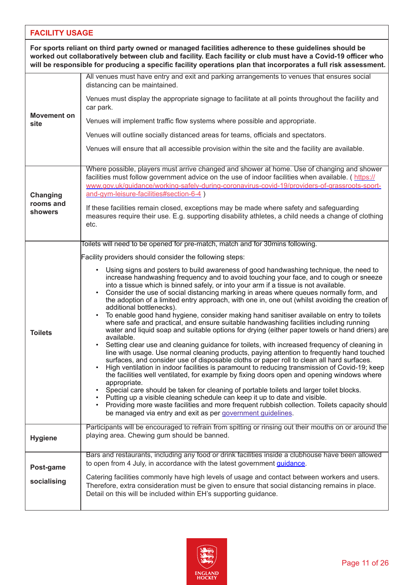## **FACILITY USAGE**

| For sports reliant on third party owned or managed facilities adherence to these guidelines should be<br>worked out collaboratively between club and facility. Each facility or club must have a Covid-19 officer who<br>will be responsible for producing a specific facility operations plan that incorporates a full risk assessment. |                                                                                                                                                                                                                                                                                                                                                                                                                                                                                                                                                                                                                                                                                                                                                                                                                                                                                                                                                                                                                                                                                                                                                                                                                                                                                                                                                                                                                                                                                                                                                                                                                                                                                                                                      |
|------------------------------------------------------------------------------------------------------------------------------------------------------------------------------------------------------------------------------------------------------------------------------------------------------------------------------------------|--------------------------------------------------------------------------------------------------------------------------------------------------------------------------------------------------------------------------------------------------------------------------------------------------------------------------------------------------------------------------------------------------------------------------------------------------------------------------------------------------------------------------------------------------------------------------------------------------------------------------------------------------------------------------------------------------------------------------------------------------------------------------------------------------------------------------------------------------------------------------------------------------------------------------------------------------------------------------------------------------------------------------------------------------------------------------------------------------------------------------------------------------------------------------------------------------------------------------------------------------------------------------------------------------------------------------------------------------------------------------------------------------------------------------------------------------------------------------------------------------------------------------------------------------------------------------------------------------------------------------------------------------------------------------------------------------------------------------------------|
|                                                                                                                                                                                                                                                                                                                                          | All venues must have entry and exit and parking arrangements to venues that ensures social<br>distancing can be maintained.                                                                                                                                                                                                                                                                                                                                                                                                                                                                                                                                                                                                                                                                                                                                                                                                                                                                                                                                                                                                                                                                                                                                                                                                                                                                                                                                                                                                                                                                                                                                                                                                          |
|                                                                                                                                                                                                                                                                                                                                          | Venues must display the appropriate signage to facilitate at all points throughout the facility and<br>car park.                                                                                                                                                                                                                                                                                                                                                                                                                                                                                                                                                                                                                                                                                                                                                                                                                                                                                                                                                                                                                                                                                                                                                                                                                                                                                                                                                                                                                                                                                                                                                                                                                     |
| <b>Movement on</b><br>site                                                                                                                                                                                                                                                                                                               | Venues will implement traffic flow systems where possible and appropriate.                                                                                                                                                                                                                                                                                                                                                                                                                                                                                                                                                                                                                                                                                                                                                                                                                                                                                                                                                                                                                                                                                                                                                                                                                                                                                                                                                                                                                                                                                                                                                                                                                                                           |
|                                                                                                                                                                                                                                                                                                                                          | Venues will outline socially distanced areas for teams, officials and spectators.                                                                                                                                                                                                                                                                                                                                                                                                                                                                                                                                                                                                                                                                                                                                                                                                                                                                                                                                                                                                                                                                                                                                                                                                                                                                                                                                                                                                                                                                                                                                                                                                                                                    |
|                                                                                                                                                                                                                                                                                                                                          | Venues will ensure that all accessible provision within the site and the facility are available.                                                                                                                                                                                                                                                                                                                                                                                                                                                                                                                                                                                                                                                                                                                                                                                                                                                                                                                                                                                                                                                                                                                                                                                                                                                                                                                                                                                                                                                                                                                                                                                                                                     |
| Changing<br>rooms and<br>showers                                                                                                                                                                                                                                                                                                         | Where possible, players must arrive changed and shower at home. Use of changing and shower<br>facilities must follow government advice on the use of indoor facilities when available. (https://<br>www.gov.uk/quidance/working-safely-during-coronavirus-covid-19/providers-of-grassroots-sport-<br>and-gym-leisure-facilities#section-6-4)<br>If these facilities remain closed, exceptions may be made where safety and safeguarding<br>measures require their use. E.g. supporting disability athletes, a child needs a change of clothing<br>etc.                                                                                                                                                                                                                                                                                                                                                                                                                                                                                                                                                                                                                                                                                                                                                                                                                                                                                                                                                                                                                                                                                                                                                                               |
|                                                                                                                                                                                                                                                                                                                                          | Toilets will need to be opened for pre-match, match and for 30mins following.                                                                                                                                                                                                                                                                                                                                                                                                                                                                                                                                                                                                                                                                                                                                                                                                                                                                                                                                                                                                                                                                                                                                                                                                                                                                                                                                                                                                                                                                                                                                                                                                                                                        |
| <b>Toilets</b>                                                                                                                                                                                                                                                                                                                           | Facility providers should consider the following steps:<br>Using signs and posters to build awareness of good handwashing technique, the need to<br>$\bullet$<br>increase handwashing frequency and to avoid touching your face, and to cough or sneeze<br>into a tissue which is binned safely, or into your arm if a tissue is not available.<br>Consider the use of social distancing marking in areas where queues normally form, and<br>the adoption of a limited entry approach, with one in, one out (whilst avoiding the creation of<br>additional bottlenecks).<br>To enable good hand hygiene, consider making hand sanitiser available on entry to toilets<br>where safe and practical, and ensure suitable handwashing facilities including running<br>water and liquid soap and suitable options for drying (either paper towels or hand driers) are<br>available.<br>Setting clear use and cleaning guidance for toilets, with increased frequency of cleaning in<br>line with usage. Use normal cleaning products, paying attention to frequently hand touched<br>surfaces, and consider use of disposable cloths or paper roll to clean all hard surfaces.<br>High ventilation in indoor facilities is paramount to reducing transmission of Covid-19; keep<br>the facilities well ventilated, for example by fixing doors open and opening windows where<br>appropriate.<br>Special care should be taken for cleaning of portable toilets and larger toilet blocks.<br>• Putting up a visible cleaning schedule can keep it up to date and visible.<br>Providing more waste facilities and more frequent rubbish collection. Toilets capacity should<br>be managed via entry and exit as per government quidelines. |
| <b>Hygiene</b>                                                                                                                                                                                                                                                                                                                           | Participants will be encouraged to refrain from spitting or rinsing out their mouths on or around the<br>playing area. Chewing gum should be banned.                                                                                                                                                                                                                                                                                                                                                                                                                                                                                                                                                                                                                                                                                                                                                                                                                                                                                                                                                                                                                                                                                                                                                                                                                                                                                                                                                                                                                                                                                                                                                                                 |
| Post-game                                                                                                                                                                                                                                                                                                                                | Bars and restaurants, including any food or drink facilities inside a clubhouse have been allowed<br>to open from 4 July, in accordance with the latest government <i>quidance</i> .<br>Catering facilities commonly have high levels of usage and contact between workers and users.                                                                                                                                                                                                                                                                                                                                                                                                                                                                                                                                                                                                                                                                                                                                                                                                                                                                                                                                                                                                                                                                                                                                                                                                                                                                                                                                                                                                                                                |
| socialising                                                                                                                                                                                                                                                                                                                              | Therefore, extra consideration must be given to ensure that social distancing remains in place.<br>Detail on this will be included within EH's supporting guidance.                                                                                                                                                                                                                                                                                                                                                                                                                                                                                                                                                                                                                                                                                                                                                                                                                                                                                                                                                                                                                                                                                                                                                                                                                                                                                                                                                                                                                                                                                                                                                                  |

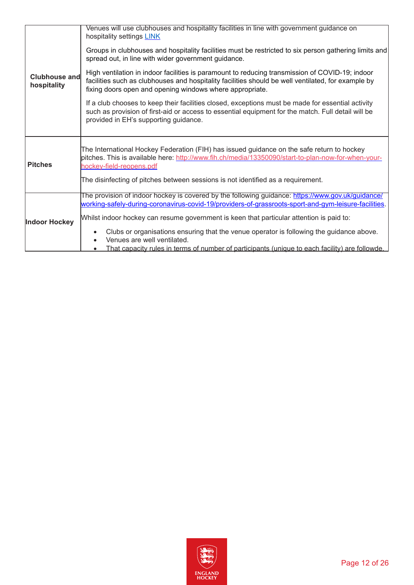| <b>Clubhouse and</b><br>hospitality | Venues will use clubhouses and hospitality facilities in line with government guidance on<br>hospitality settings LINK<br>Groups in clubhouses and hospitality facilities must be restricted to six person gathering limits and<br>spread out, in line with wider government guidance.<br>High ventilation in indoor facilities is paramount to reducing transmission of COVID-19; indoor<br>facilities such as clubhouses and hospitality facilities should be well ventilated, for example by<br>fixing doors open and opening windows where appropriate.<br>If a club chooses to keep their facilities closed, exceptions must be made for essential activity<br>such as provision of first-aid or access to essential equipment for the match. Full detail will be<br>provided in EH's supporting guidance. |
|-------------------------------------|-----------------------------------------------------------------------------------------------------------------------------------------------------------------------------------------------------------------------------------------------------------------------------------------------------------------------------------------------------------------------------------------------------------------------------------------------------------------------------------------------------------------------------------------------------------------------------------------------------------------------------------------------------------------------------------------------------------------------------------------------------------------------------------------------------------------|
| <b>Pitches</b>                      | The International Hockey Federation (FIH) has issued guidance on the safe return to hockey<br>pitches. This is available here: http://www.fih.ch/media/13350090/start-to-plan-now-for-when-your-<br>hockey-field-reopens.pdf<br>The disinfecting of pitches between sessions is not identified as a requirement.                                                                                                                                                                                                                                                                                                                                                                                                                                                                                                |
| Indoor Hockey                       | The provision of indoor hockey is covered by the following guidance: https://www.gov.uk/guidance/<br>working-safely-during-coronavirus-covid-19/providers-of-grassroots-sport-and-gym-leisure-facilities.<br>Whilst indoor hockey can resume government is keen that particular attention is paid to:<br>Clubs or organisations ensuring that the venue operator is following the guidance above.<br>Venues are well ventilated.<br>That capacity rules in terms of number of participants (unique to each facility) are followde.                                                                                                                                                                                                                                                                              |

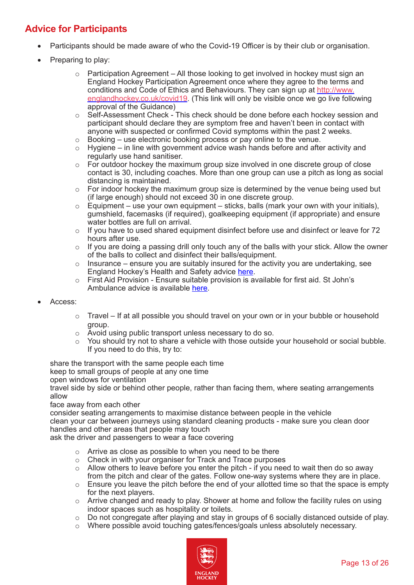# <span id="page-12-0"></span>**Advice for Participants**

- Participants should be made aware of who the Covid-19 Officer is by their club or organisation.
- Preparing to play:
	- $\circ$  Participation Agreement All those looking to get involved in hockey must sign an England Hockey Participation Agreement once where they agree to the terms and conditions and Code of Ethics and Behaviours. They can sign up at [http://www.](http://www.englandhockey.co.uk/covid19) [englandhockey.co.uk/covid19.](http://www.englandhockey.co.uk/covid19) (This link will only be visible once we go live following approval of the Guidance)
	- o Self-Assessment Check This check should be done before each hockey session and participant should declare they are symptom free and haven't been in contact with anyone with suspected or confirmed Covid symptoms within the past 2 weeks.
	- $\circ$  Booking use electronic booking process or pay online to the venue.<br> $\circ$  Hygiene in line with government advice wash hands before and afte
	- Hygiene in line with government advice wash hands before and after activity and regularly use hand sanitiser.
	- o For outdoor hockey the maximum group size involved in one discrete group of close contact is 30, including coaches. More than one group can use a pitch as long as social distancing is maintained.
	- o For indoor hockey the maximum group size is determined by the venue being used but (if large enough) should not exceed 30 in one discrete group.
	- $\circ$  Equipment use your own equipment sticks, balls (mark your own with your initials), gumshield, facemasks (if required), goalkeeping equipment (if appropriate) and ensure water bottles are full on arrival.
	- $\circ$  If you have to used shared equipment disinfect before use and disinfect or leave for 72 hours after use.
	- $\circ$  If you are doing a passing drill only touch any of the balls with your stick. Allow the owner of the balls to collect and disinfect their balls/equipment.
	- $\circ$  Insurance ensure you are suitably insured for the activity you are undertaking, see England Hockey's Health and Safety advice [here](http://www.englandhockey.co.uk/core/core_picker/download.asp?id=20324).
	- o First Aid Provision Ensure suitable provision is available for first aid. St John's Ambulance advice is available [here](https://www.sja.org.uk/get-advice/first-aid-advice/covid-19-advice-for-first-aiders/).
- Access:
	- $\circ$  Travel If at all possible you should travel on your own or in your bubble or household group.
	- o Avoid using public transport unless necessary to do so.
	- $\circ$  You should try not to share a vehicle with those outside your household or social bubble. If you need to do this, try to:

share the transport with the same people each time

keep to small groups of people at any one time

open windows for ventilation

travel side by side or behind other people, rather than facing them, where seating arrangements allow

#### face away from each other

consider seating arrangements to maximise distance between people in the vehicle

clean your car between journeys using standard cleaning products - make sure you clean door handles and other areas that people may touch

ask the driver and passengers to wear a face covering

- o Arrive as close as possible to when you need to be there
- o Check in with your organiser for Track and Trace purposes
- $\circ$  Allow others to leave before you enter the pitch if you need to wait then do so away from the pitch and clear of the gates. Follow one-way systems where they are in place.
- $\circ$  Ensure you leave the pitch before the end of your allotted time so that the space is empty for the next players.
- $\circ$  Arrive changed and ready to play. Shower at home and follow the facility rules on using indoor spaces such as hospitality or toilets.
- o Do not congregate after playing and stay in groups of 6 socially distanced outside of play.
- o Where possible avoid touching gates/fences/goals unless absolutely necessary.

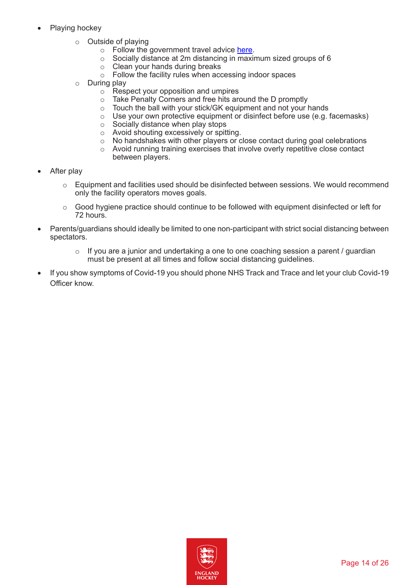- Playing hockey
	- o Outside of playing
		- $\circ$  Follow the government travel advice [here](https://www.gov.uk/guidance/coronavirus-covid-19-safer-travel-guidance-for-passengers).
		- o Socially distance at 2m distancing in maximum sized groups of 6
		- o Clean your hands during breaks
		- o Follow the facility rules when accessing indoor spaces
	- o During play
		- $\circ$  Respect your opposition and umpires
		- o Take Penalty Corners and free hits around the D promptly
		- o Touch the ball with your stick/GK equipment and not your hands
		- o Use your own protective equipment or disinfect before use (e.g. facemasks)
		- $\circ$  Socially distance when play stops
		- o Avoid shouting excessively or spitting.
		- o No handshakes with other players or close contact during goal celebrations
		- o Avoid running training exercises that involve overly repetitive close contact between players.
- After play
	- $\circ$  Equipment and facilities used should be disinfected between sessions. We would recommend only the facility operators moves goals.
	- $\circ$  Good hygiene practice should continue to be followed with equipment disinfected or left for 72 hours.
- Parents/guardians should ideally be limited to one non-participant with strict social distancing between spectators.
	- $\circ$  If you are a junior and undertaking a one to one coaching session a parent / guardian must be present at all times and follow social distancing guidelines.
- If you show symptoms of Covid-19 you should phone NHS Track and Trace and let your club Covid-19 Officer know.

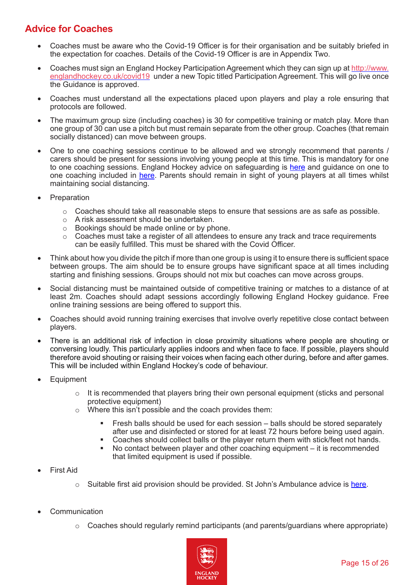# <span id="page-14-0"></span>**Advice for Coaches**

- Coaches must be aware who the Covid-19 Officer is for their organisation and be suitably briefed in the expectation for coaches. Details of the Covid-19 Officer is are in Appendix Two.
- Coaches must sign an England Hockey Participation Agreement which they can sign up at [http://www.](http://www.englandhockey.co.uk/covid19) [englandhockey.co.uk/covid19](http://www.englandhockey.co.uk/covid19) under a new Topic titled Participation Agreement. This will go live once the Guidance is approved.
- Coaches must understand all the expectations placed upon players and play a role ensuring that protocols are followed.
- The maximum group size (including coaches) is 30 for competitive training or match play. More than one group of 30 can use a pitch but must remain separate from the other group. Coaches (that remain socially distanced) can move between groups.
- One to one coaching sessions continue to be allowed and we strongly recommend that parents / carers should be present for sessions involving young people at this time. This is mandatory for one to one coaching sessions. England Hockey advice on safeguarding is [here](http://www.englandhockey.co.uk/page.asp?section=1168§ionTitle=Safeguarding+%26+Protecting+Young+People) and guidance on one to one coaching included in [here](http://www.englandhockey.co.uk/core/core_picker/download.asp?id=12264). Parents should remain in sight of young players at all times whilst maintaining social distancing.
- **Preparation** 
	- $\circ$  Coaches should take all reasonable steps to ensure that sessions are as safe as possible.
	- o A risk assessment should be undertaken.
	- $\circ$  Bookings should be made online or by phone.<br> $\circ$  Coaches must take a register of all attendees to
	- Coaches must take a register of all attendees to ensure any track and trace requirements can be easily fulfilled. This must be shared with the Covid Officer.
- Think about how you divide the pitch if more than one group is using it to ensure there is sufficient space between groups. The aim should be to ensure groups have significant space at all times including starting and finishing sessions. Groups should not mix but coaches can move across groups.
- Social distancing must be maintained outside of competitive training or matches to a distance of at least 2m. Coaches should adapt sessions accordingly following England Hockey guidance. Free online training sessions are being offered to support this.
- Coaches should avoid running training exercises that involve overly repetitive close contact between players.
- There is an additional risk of infection in close proximity situations where people are shouting or conversing loudly. This particularly applies indoors and when face to face. If possible, players should therefore avoid shouting or raising their voices when facing each other during, before and after games. This will be included within England Hockey's code of behaviour.
- **Equipment** 
	- $\circ$  It is recommended that players bring their own personal equipment (sticks and personal protective equipment)
	- o Where this isn't possible and the coach provides them:
		- Fresh balls should be used for each session balls should be stored separately after use and disinfected or stored for at least 72 hours before being used again.
		- Coaches should collect balls or the player return them with stick/feet not hands.<br>No contact between player and other coaching equipment it is recommended
		- No contact between player and other coaching equipment it is recommended that limited equipment is used if possible.
- **First Aid** 
	- $\circ$  Suitable first aid provision should be provided. St John's Ambulance advice is [here.](https://www.sja.org.uk/get-advice/first-aid-advice/covid-19-advice-for-first-aiders/)
- **Communication** 
	- $\circ$  Coaches should regularly remind participants (and parents/guardians where appropriate)

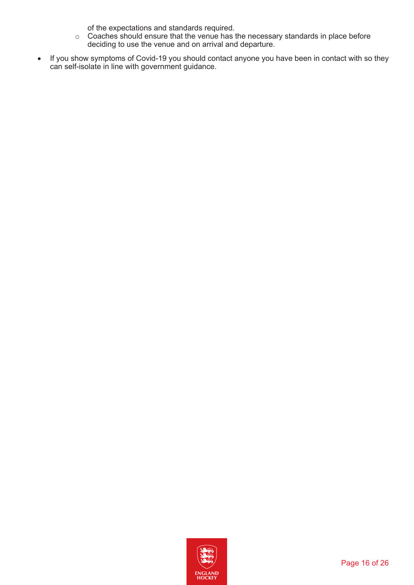of the expectations and standards required.

- $\circ$  Coaches should ensure that the venue has the necessary standards in place before deciding to use the venue and on arrival and departure.
- If you show symptoms of Covid-19 you should contact anyone you have been in contact with so they can self-isolate in line with government guidance.

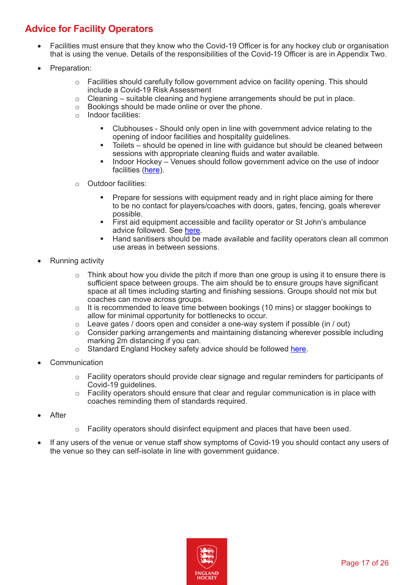# <span id="page-16-0"></span>**Advice for Facility Operators**

- Facilities must ensure that they know who the Covid-19 Officer is for any hockey club or organisation that is using the venue. Details of the responsibilities of the Covid-19 Officer is are in Appendix Two.
- Preparation:
	- o Facilities should carefully follow government advice on facility opening. This should include a Covid-19 Risk Assessment
	- $\circ$  Cleaning suitable cleaning and hygiene arrangements should be put in place.
	- $\circ$  Bookings should be made online or over the phone.<br> $\circ$  Indoor facilities:
	- Indoor facilities:
		- Clubhouses Should only open in line with government advice relating to the opening of indoor facilities and hospitality guidelines.
		- Toilets should be opened in line with guidance but should be cleaned between sessions with appropriate cleaning fluids and water available.
		- Indoor Hockey Venues should follow government advice on the use of indoor facilities ([here\)](https://www.gov.uk/guidance/working-safely-during-coronavirus-covid-19/providers-of-grassroots-sport-and-gym-leisure-facilities).
	- o Outdoor facilities:
		- Prepare for sessions with equipment ready and in right place aiming for there to be no contact for players/coaches with doors, gates, fencing, goals wherever possible.
		- First aid equipment accessible and facility operator or St John's ambulance advice followed. See [here.](https://www.sja.org.uk/get-advice/first-aid-advice/covid-19-advice-for-first-aiders/)
		- Hand sanitisers should be made available and facility operators clean all common use areas in between sessions.
- **Running activity** 
	- $\circ$  Think about how you divide the pitch if more than one group is using it to ensure there is sufficient space between groups. The aim should be to ensure groups have significant space at all times including starting and finishing sessions. Groups should not mix but coaches can move across groups.
	- o It is recommended to leave time between bookings (10 mins) or stagger bookings to allow for minimal opportunity for bottlenecks to occur.
	- $\circ$  Leave gates / doors open and consider a one-way system if possible (in / out)
	- $\circ$  Consider parking arrangements and maintaining distancing wherever possible including marking 2m distancing if you can.
	- o Standard England Hockey safety advice should be followed [here](http://www.englandhockey.co.uk/core/core_picker/download.asp?id=20324).
- **Communication** 
	- $\circ$  Facility operators should provide clear signage and regular reminders for participants of Covid-19 guidelines.
	- o Facility operators should ensure that clear and regular communication is in place with coaches reminding them of standards required.
- **After**
- $\circ$  Facility operators should disinfect equipment and places that have been used.
- If any users of the venue or venue staff show symptoms of Covid-19 you should contact any users of the venue so they can self-isolate in line with government guidance.

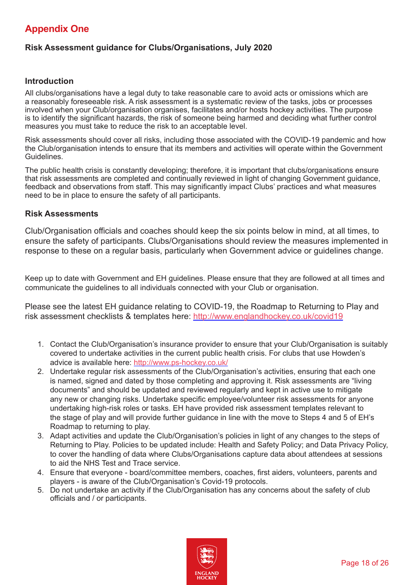# <span id="page-17-0"></span>**Appendix One**

## **Risk Assessment guidance for Clubs/Organisations, July 2020**

#### **Introduction**

All clubs/organisations have a legal duty to take reasonable care to avoid acts or omissions which are a reasonably foreseeable risk. A risk assessment is a systematic review of the tasks, jobs or processes involved when your Club/organisation organises, facilitates and/or hosts hockey activities. The purpose is to identify the significant hazards, the risk of someone being harmed and deciding what further control measures you must take to reduce the risk to an acceptable level.

Risk assessments should cover all risks, including those associated with the COVID-19 pandemic and how the Club/organisation intends to ensure that its members and activities will operate within the Government Guidelines.

The public health crisis is constantly developing; therefore, it is important that clubs/organisations ensure that risk assessments are completed and continually reviewed in light of changing Government guidance, feedback and observations from staff. This may significantly impact Clubs' practices and what measures need to be in place to ensure the safety of all participants.

#### **Risk Assessments**

Club/Organisation officials and coaches should keep the six points below in mind, at all times, to ensure the safety of participants. Clubs/Organisations should review the measures implemented in response to these on a regular basis, particularly when Government advice or guidelines change.

Keep up to date with Government and EH guidelines. Please ensure that they are followed at all times and communicate the guidelines to all individuals connected with your Club or organisation.

Please see the latest EH guidance relating to COVID-19, the Roadmap to Returning to Play and risk assessment checklists & templates here: <http://www.englandhockey.co.uk/covid19>

- 1. Contact the Club/Organisation's insurance provider to ensure that your Club/Organisation is suitably covered to undertake activities in the current public health crisis. For clubs that use Howden's advice is available here:<http://www.ps-hockey.co.uk/>
- 2. Undertake regular risk assessments of the Club/Organisation's activities, ensuring that each one is named, signed and dated by those completing and approving it. Risk assessments are "living documents" and should be updated and reviewed regularly and kept in active use to mitigate any new or changing risks. Undertake specific employee/volunteer risk assessments for anyone undertaking high-risk roles or tasks. EH have provided risk assessment templates relevant to the stage of play and will provide further guidance in line with the move to Steps 4 and 5 of EH's Roadmap to returning to play.
- 3. Adapt activities and update the Club/Organisation's policies in light of any changes to the steps of Returning to Play. Policies to be updated include: Health and Safety Policy; and Data Privacy Policy, to cover the handling of data where Clubs/Organisations capture data about attendees at sessions to aid the NHS Test and Trace service.
- 4. Ensure that everyone board/committee members, coaches, first aiders, volunteers, parents and players - is aware of the Club/Organisation's Covid-19 protocols.
- 5. Do not undertake an activity if the Club/Organisation has any concerns about the safety of club officials and / or participants.

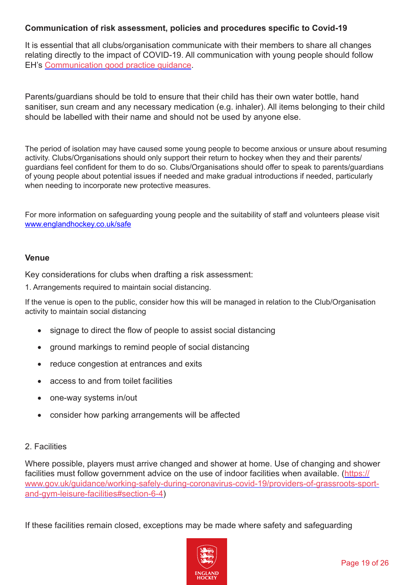## **Communication of risk assessment, policies and procedures specific to Covid-19**

It is essential that all clubs/organisation communicate with their members to share all changes relating directly to the impact of COVID-19. All communication with young people should follow EH's [Communication good practice guidance](http://www.englandhockey.co.uk/core/core_picker/download.asp?id=12264).

Parents/guardians should be told to ensure that their child has their own water bottle, hand sanitiser, sun cream and any necessary medication (e.g. inhaler). All items belonging to their child should be labelled with their name and should not be used by anyone else.

The period of isolation may have caused some young people to become anxious or unsure about resuming activity. Clubs/Organisations should only support their return to hockey when they and their parents/ guardians feel confident for them to do so. Clubs/Organisations should offer to speak to parents/guardians of young people about potential issues if needed and make gradual introductions if needed, particularly when needing to incorporate new protective measures.

For more information on safeguarding young people and the suitability of staff and volunteers please visit [www.englandhockey.co.uk/safe](http://www.englandhockey.co.uk/safe)

#### **Venue**

Key considerations for clubs when drafting a risk assessment:

1. Arrangements required to maintain social distancing.

If the venue is open to the public, consider how this will be managed in relation to the Club/Organisation activity to maintain social distancing

- signage to direct the flow of people to assist social distancing
- ground markings to remind people of social distancing
- reduce congestion at entrances and exits
- access to and from toilet facilities
- one-way systems in/out
- consider how parking arrangements will be affected

#### 2. Facilities

Where possible, players must arrive changed and shower at home. Use of changing and shower facilities must follow government advice on the use of indoor facilities when available. (https:// www.gov.uk/guidance/working-safely-during-coronavirus-covid-19/providers-of-grassroots-sportand-gym-leisure-facilities#section-6-4)

If these facilities remain closed, exceptions may be made where safety and safeguarding

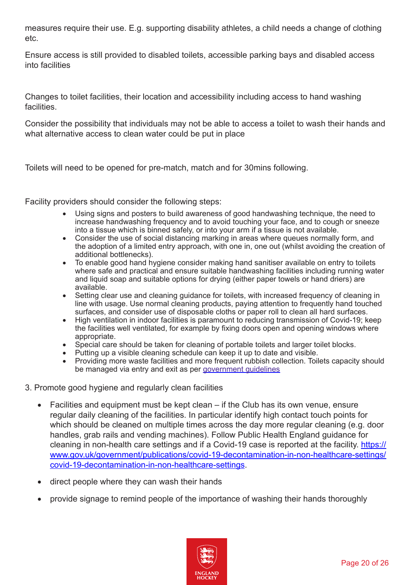measures require their use. E.g. supporting disability athletes, a child needs a change of clothing etc.

Ensure access is still provided to disabled toilets, accessible parking bays and disabled access into facilities

Changes to toilet facilities, their location and accessibility including access to hand washing facilities.

Consider the possibility that individuals may not be able to access a toilet to wash their hands and what alternative access to clean water could be put in place

Toilets will need to be opened for pre-match, match and for 30mins following.

Facility providers should consider the following steps:

- Using signs and posters to build awareness of good handwashing technique, the need to increase handwashing frequency and to avoid touching your face, and to cough or sneeze into a tissue which is binned safely, or into your arm if a tissue is not available.
- Consider the use of social distancing marking in areas where queues normally form, and the adoption of a limited entry approach, with one in, one out (whilst avoiding the creation of additional bottlenecks).
- $\bullet$  To enable good hand hygiene consider making hand sanitiser available on entry to toilets where safe and practical and ensure suitable handwashing facilities including running water and liquid soap and suitable options for drying (either paper towels or hand driers) are available.
- Setting clear use and cleaning guidance for toilets, with increased frequency of cleaning in line with usage. Use normal cleaning products, paying attention to frequently hand touched surfaces, and consider use of disposable cloths or paper roll to clean all hard surfaces.
- High ventilation in indoor facilities is paramount to reducing transmission of Covid-19; keep the facilities well ventilated, for example by fixing doors open and opening windows where appropriate.
- Special care should be taken for cleaning of portable toilets and larger toilet blocks.
- Putting up a visible cleaning schedule can keep it up to date and visible.
- Providing more waste facilities and more frequent rubbish collection. Toilets capacity should be managed via entry and exit as per [government guidelines](https://www.gov.uk/government/publications/coronavirus-covid-19-guidance-on-phased-return-of-sport-and-recreation/guidance-for-providers-of-outdoor-facilities-on-the-phased-return-of-sport-and-recreation)

## 3. Promote good hygiene and regularly clean facilities

- Facilities and equipment must be kept clean  $-$  if the Club has its own venue, ensure regular daily cleaning of the facilities. In particular identify high contact touch points for which should be cleaned on multiple times across the day more regular cleaning (e.g. door handles, grab rails and vending machines). Follow Public Health England guidance for cleaning in non-health care settings and if a Covid-19 case is reported at the facility. [https://](https://www.gov.uk/government/publications/covid-19-decontamination-in-non-healthcare-settings/covid-19-decontamination-in-non-healthcare-settings) [www.gov.uk/government/publications/covid-19-decontamination-in-non-healthcare-settings/](https://www.gov.uk/government/publications/covid-19-decontamination-in-non-healthcare-settings/covid-19-decontamination-in-non-healthcare-settings) [covid-19-decontamination-in-non-healthcare-settings](https://www.gov.uk/government/publications/covid-19-decontamination-in-non-healthcare-settings/covid-19-decontamination-in-non-healthcare-settings).
- direct people where they can wash their hands
- provide signage to remind people of the importance of washing their hands thoroughly

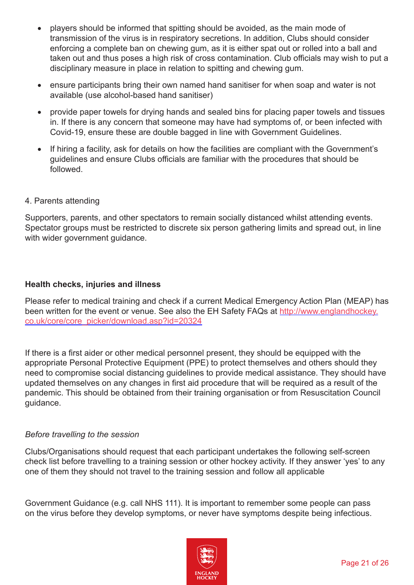- players should be informed that spitting should be avoided, as the main mode of transmission of the virus is in respiratory secretions. In addition, Clubs should consider enforcing a complete ban on chewing gum, as it is either spat out or rolled into a ball and taken out and thus poses a high risk of cross contamination. Club officials may wish to put a disciplinary measure in place in relation to spitting and chewing gum.
- ensure participants bring their own named hand sanitiser for when soap and water is not available (use alcohol-based hand sanitiser)
- provide paper towels for drying hands and sealed bins for placing paper towels and tissues in. If there is any concern that someone may have had symptoms of, or been infected with Covid-19, ensure these are double bagged in line with Government Guidelines.
- If hiring a facility, ask for details on how the facilities are compliant with the Government's guidelines and ensure Clubs officials are familiar with the procedures that should be followed.
- 4. Parents attending

Supporters, parents, and other spectators to remain socially distanced whilst attending events. Spectator groups must be restricted to discrete six person gathering limits and spread out, in line with wider government guidance.

## **Health checks, injuries and illness**

Please refer to medical training and check if a current Medical Emergency Action Plan (MEAP) has been written for the event or venue. See also the EH Safety FAQs at [http://www.englandhockey.](http://www.englandhockey.co.uk/core/core_picker/download.asp?id=20324) [co.uk/core/core\\_picker/download.asp?id=20324](http://www.englandhockey.co.uk/core/core_picker/download.asp?id=20324)

If there is a first aider or other medical personnel present, they should be equipped with the appropriate Personal Protective Equipment (PPE) to protect themselves and others should they need to compromise social distancing guidelines to provide medical assistance. They should have updated themselves on any changes in first aid procedure that will be required as a result of the pandemic. This should be obtained from their training organisation or from Resuscitation Council guidance.

#### *Before travelling to the session*

Clubs/Organisations should request that each participant undertakes the following self-screen check list before travelling to a training session or other hockey activity. If they answer 'yes' to any one of them they should not travel to the training session and follow all applicable

Government Guidance (e.g. call NHS 111). It is important to remember some people can pass on the virus before they develop symptoms, or never have symptoms despite being infectious.

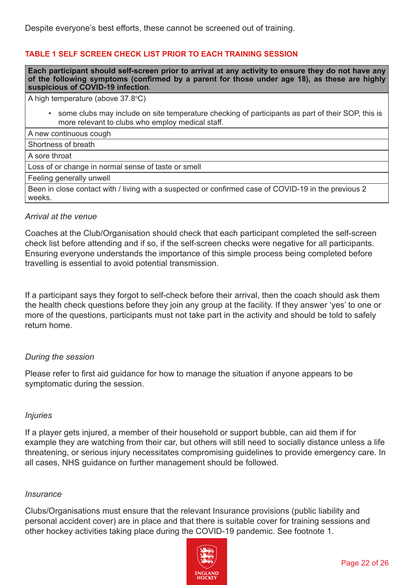Despite everyone's best efforts, these cannot be screened out of training.

## **TABLE 1 SELF SCREEN CHECK LIST PRIOR TO EACH TRAINING SESSION**

**Each participant should self-screen prior to arrival at any activity to ensure they do not have any of the following symptoms (confirmed by a parent for those under age 18), as these are highly suspicious of COVID-19 infection**.

A high temperature (above 37.8ºC)

• some clubs may include on site temperature checking of participants as part of their SOP, this is more relevant to clubs who employ medical staff.

A new continuous cough

Shortness of breath

A sore throat

Loss of or change in normal sense of taste or smell

Feeling generally unwell

Been in close contact with / living with a suspected or confirmed case of COVID-19 in the previous 2 weeks.

#### *Arrival at the venue*

Coaches at the Club/Organisation should check that each participant completed the self-screen check list before attending and if so, if the self-screen checks were negative for all participants. Ensuring everyone understands the importance of this simple process being completed before travelling is essential to avoid potential transmission.

If a participant says they forgot to self-check before their arrival, then the coach should ask them the health check questions before they join any group at the facility. If they answer 'yes' to one or more of the questions, participants must not take part in the activity and should be told to safely return home.

#### *During the session*

Please refer to first aid guidance for how to manage the situation if anyone appears to be symptomatic during the session.

#### *Injuries*

If a player gets injured, a member of their household or support bubble, can aid them if for example they are watching from their car, but others will still need to socially distance unless a life threatening, or serious injury necessitates compromising guidelines to provide emergency care. In all cases, NHS guidance on further management should be followed.

#### *Insurance*

Clubs/Organisations must ensure that the relevant Insurance provisions (public liability and personal accident cover) are in place and that there is suitable cover for training sessions and other hockey activities taking place during the COVID-19 pandemic. See footnote 1.

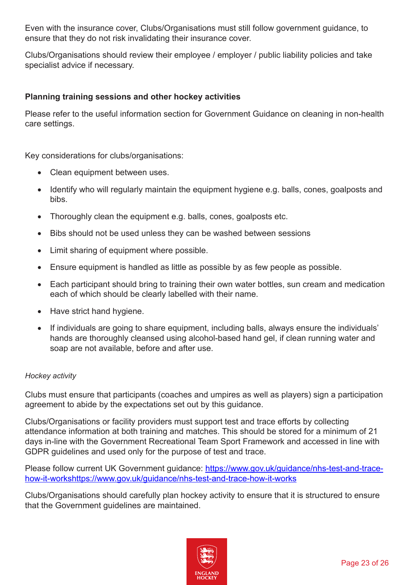Even with the insurance cover, Clubs/Organisations must still follow government guidance, to ensure that they do not risk invalidating their insurance cover.

Clubs/Organisations should review their employee / employer / public liability policies and take specialist advice if necessary.

# **Planning training sessions and other hockey activities**

Please refer to the useful information section for Government Guidance on cleaning in non-health care settings.

Key considerations for clubs/organisations:

- Clean equipment between uses.
- Identify who will regularly maintain the equipment hygiene e.g. balls, cones, goalposts and bibs.
- Thoroughly clean the equipment e.g. balls, cones, goalposts etc.
- Bibs should not be used unless they can be washed between sessions
- Limit sharing of equipment where possible.
- Ensure equipment is handled as little as possible by as few people as possible.
- Each participant should bring to training their own water bottles, sun cream and medication each of which should be clearly labelled with their name.
- Have strict hand hygiene.
- If individuals are going to share equipment, including balls, always ensure the individuals' hands are thoroughly cleansed using alcohol-based hand gel, if clean running water and soap are not available, before and after use.

## *Hockey activity*

Clubs must ensure that participants (coaches and umpires as well as players) sign a participation agreement to abide by the expectations set out by this guidance.

Clubs/Organisations or facility providers must support test and trace efforts by collecting attendance information at both training and matches. This should be stored for a minimum of 21 days in-line with the Government Recreational Team Sport Framework and accessed in line with GDPR guidelines and used only for the purpose of test and trace.

Please follow current UK Government guidance: [https://www.gov.uk/guidance/nhs-test-and-trace](https://www.gov.uk/guidance/nhs-test-and-trace-how-it-workshttps://www.gov.uk/guidance/nhs-test-and-trace-how-it-works)[how-it-workshttps://www.gov.uk/guidance/nhs-test-and-trace-how-it-works](https://www.gov.uk/guidance/nhs-test-and-trace-how-it-workshttps://www.gov.uk/guidance/nhs-test-and-trace-how-it-works)

Clubs/Organisations should carefully plan hockey activity to ensure that it is structured to ensure that the Government guidelines are maintained.

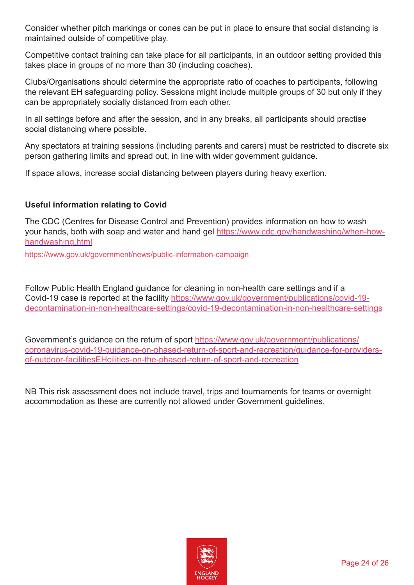Consider whether pitch markings or cones can be put in place to ensure that social distancing is maintained outside of competitive play.

Competitive contact training can take place for all participants, in an outdoor setting provided this takes place in groups of no more than 30 (including coaches).

Clubs/Organisations should determine the appropriate ratio of coaches to participants, following the relevant EH safeguarding policy. Sessions might include multiple groups of 30 but only if they can be appropriately socially distanced from each other.

In all settings before and after the session, and in any breaks, all participants should practise social distancing where possible.

Any spectators at training sessions (including parents and carers) must be restricted to discrete six person gathering limits and spread out, in line with wider government guidance.

If space allows, increase social distancing between players during heavy exertion.

# **Useful information relating to Covid**

The CDC (Centres for Disease Control and Prevention) provides information on how to wash your hands, both with soap and water and hand gel [https://www.cdc.gov/handwashing/when-how](https://www.cdc.gov/handwashing/when-how-handwashing.html)[handwashing.html](https://www.cdc.gov/handwashing/when-how-handwashing.html)

<https://www.gov.uk/government/news/public-information-campaign>

Follow Public Health England guidance for cleaning in non-health care settings and if a Covid-19 case is reported at the facility [https://www.gov.uk/government/publications/covid-19](https://www.gov.uk/government/publications/covid-19-decontamination-in-non-healthcare-settings/covid-19-decontamination-in-non-healthcare-settings) [decontamination-in-non-healthcare-settings/covid-19-decontamination-in-non-healthcare-settings](https://www.gov.uk/government/publications/covid-19-decontamination-in-non-healthcare-settings/covid-19-decontamination-in-non-healthcare-settings)

Government's guidance on the return of sport [https://www.gov.uk/government/publications/](https://www.gov.uk/government/publications/coronavirus-covid-19-guidance-on-phased-return-of-sport-and-recreation/guidance-for-providers-of-outdoor-facilities-on-the-phased-return-of-sport-and-recreation) [coronavirus-covid-19-guidance-on-phased-return-of-sport-and-recreation/guidance-for-providers](https://www.gov.uk/government/publications/coronavirus-covid-19-guidance-on-phased-return-of-sport-and-recreation/guidance-for-providers-of-outdoor-facilities-on-the-phased-return-of-sport-and-recreation)[of-outdoor-facilitiesEHcilities-on-the-phased-return-of-sport-and-recreation](https://www.gov.uk/government/publications/coronavirus-covid-19-guidance-on-phased-return-of-sport-and-recreation/guidance-for-providers-of-outdoor-facilities-on-the-phased-return-of-sport-and-recreation)

NB This risk assessment does not include travel, trips and tournaments for teams or overnight accommodation as these are currently not allowed under Government guidelines.

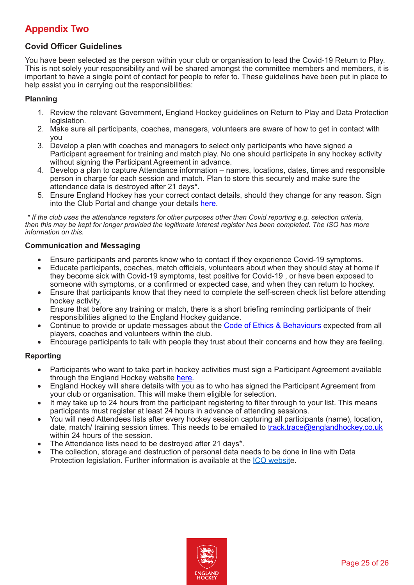# <span id="page-24-0"></span>**Appendix Two**

## **Covid Officer Guidelines**

You have been selected as the person within your club or organisation to lead the Covid-19 Return to Play. This is not solely your responsibility and will be shared amongst the committee members and members, it is important to have a single point of contact for people to refer to. These guidelines have been put in place to help assist you in carrying out the responsibilities:

#### **Planning**

- 1. Review the relevant Government, England Hockey guidelines on Return to Play and Data Protection legislation.
- 2. Make sure all participants, coaches, managers, volunteers are aware of how to get in contact with you
- 3. Develop a plan with coaches and managers to select only participants who have signed a Participant agreement for training and match play. No one should participate in any hockey activity without signing the Participant Agreement in advance.
- 4. Develop a plan to capture Attendance information names, locations, dates, times and responsible person in charge for each session and match. Plan to store this securely and make sure the attendance data is destroyed after 21 days\*.
- 5. Ensure England Hockey has your correct contact details, should they change for any reason. Sign into the Club Portal and change your details [here](https://clubportal.englandhockey.co.uk/).

*\* If the club uses the attendance registers for other purposes other than Covid reporting e.g. selection criteria, then this may be kept for longer provided the legitimate interest register has been completed. The ISO has more information on this.*

#### **Communication and Messaging**

- Ensure participants and parents know who to contact if they experience Covid-19 symptoms.
- Educate participants, coaches, match officials, volunteers about when they should stay at home if they become sick with Covid-19 symptoms, test positive for Covid-19 , or have been exposed to someone with symptoms, or a confirmed or expected case, and when they can return to hockey.
- Ensure that participants know that they need to complete the self-screen check list before attending hockey activity.
- Ensure that before any training or match, there is a short briefing reminding participants of their responsibilities aligned to the England Hockey guidance.
- Continue to provide or update messages about the [Code of Ethics & Behaviours](http://www.englandhockey.co.uk/page.asp?section=2482§ionTitle=Code+Of+Ethics+%26+Behaviour) expected from all players, coaches and volunteers within the club.
- Encourage participants to talk with people they trust about their concerns and how they are feeling.

#### **Reporting**

- Participants who want to take part in hockey activities must sign a Participant Agreement available through the England Hockey website [here](http://www.englandhockey.co.uk/covid19).
- England Hockey will share details with you as to who has signed the Participant Agreement from your club or organisation. This will make them eligible for selection.
- It may take up to 24 hours from the participant registering to filter through to your list. This means participants must register at least 24 hours in advance of attending sessions.
- You will need Attendees lists after every hockey session capturing all participants (name), location, date, match/ training session times. This needs to be emailed to [track.trace@englandhockey.co.uk](mailto:track.trace@englandhockey.co.uk) within 24 hours of the session.
- The Attendance lists need to be destroyed after 21 days\*.
- The collection, storage and destruction of personal data needs to be done in line with Data Protection legislation. Further information is available at the [ICO websit](https://ico.org.uk/global/data-protection-and-coronavirus-information-hub/coronavirus-recovery-data-protection-advice-for-organisations/)e.